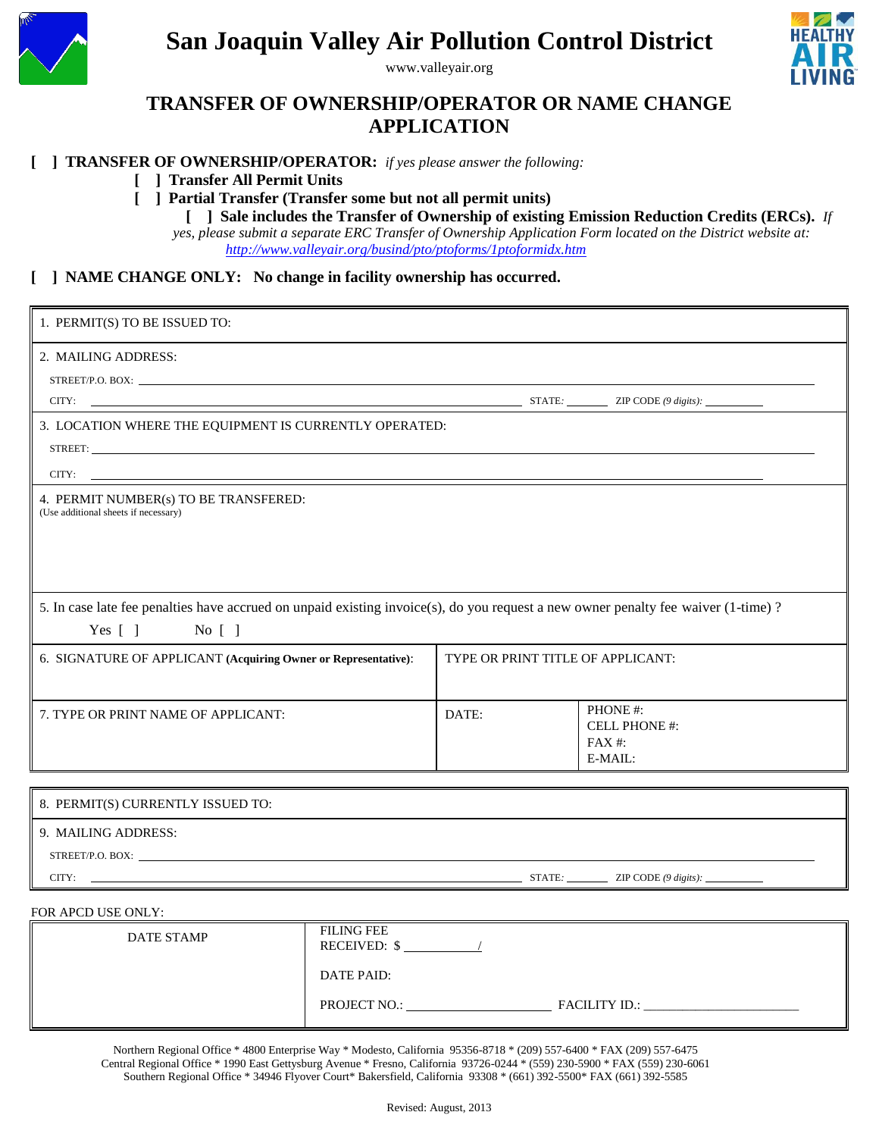

# **San Joaquin Valley Air Pollution Control District**

www.valleyair.org



## **TRANSFER OF OWNERSHIP/OPERATOR OR NAME CHANGE APPLICATION**

#### **[ ] TRANSFER OF OWNERSHIP/OPERATOR:** *if yes please answer the following:*

#### **[ ] Transfer All Permit Units**

**[ ] Partial Transfer (Transfer some but not all permit units)**

**[ ] Sale includes the Transfer of Ownership of existing Emission Reduction Credits (ERCs).** *If* 

*yes, please submit a separate ERC Transfer of Ownership Application Form located on the District website at:* *<http://www.valleyair.org/busind/pto/ptoforms/1ptoformidx.htm>*

#### **[ ] NAME CHANGE ONLY: No change in facility ownership has occurred.**

| 1. PERMIT(S) TO BE ISSUED TO:                                                                                                     |                                   |                                                 |
|-----------------------------------------------------------------------------------------------------------------------------------|-----------------------------------|-------------------------------------------------|
| 2. MAILING ADDRESS:                                                                                                               |                                   |                                                 |
|                                                                                                                                   |                                   |                                                 |
| CITY: $\qquad \qquad \text{STATE:} \qquad \qquad \text{ZIP CODE } (\theta \text{ digits}):$                                       |                                   |                                                 |
| 3. LOCATION WHERE THE EQUIPMENT IS CURRENTLY OPERATED:                                                                            |                                   |                                                 |
|                                                                                                                                   |                                   |                                                 |
| CITY:                                                                                                                             |                                   |                                                 |
| 4. PERMIT NUMBER(s) TO BE TRANSFERED:<br>(Use additional sheets if necessary)                                                     |                                   |                                                 |
|                                                                                                                                   |                                   |                                                 |
| 5. In case late fee penalties have accrued on unpaid existing invoice(s), do you request a new owner penalty fee waiver (1-time)? |                                   |                                                 |
| $Yes [ ]$ No []                                                                                                                   |                                   |                                                 |
| 6. SIGNATURE OF APPLICANT (Acquiring Owner or Representative):                                                                    | TYPE OR PRINT TITLE OF APPLICANT: |                                                 |
|                                                                                                                                   |                                   |                                                 |
| 7. TYPE OR PRINT NAME OF APPLICANT:                                                                                               | DATE:                             | PHONE#:<br>CELL PHONE #:<br>$FAX#$ :<br>E-MAIL: |
|                                                                                                                                   |                                   |                                                 |
| 8. PERMIT(S) CURRENTLY ISSUED TO:                                                                                                 |                                   |                                                 |
| 9. MAILING ADDRESS:                                                                                                               |                                   |                                                 |
| STREET/P.O. BOX:                                                                                                                  |                                   |                                                 |

CITY: <u>ZIP CODE *(9 digits)*:</u> **ZIP** CODE *(9 digits):* **ZIP** CODE *(9 digits):* 

#### FOR APCD USE ONLY:

| <b>DATE STAMP</b> | <b>FILING FEE</b><br><b>RECEIVED: \$</b> |                      |
|-------------------|------------------------------------------|----------------------|
|                   | DATE PAID:                               |                      |
|                   | PROJECT NO.:                             | <b>FACILITY ID.:</b> |

Northern Regional Office \* 4800 Enterprise Way \* Modesto, California 95356-8718 \* (209) 557-6400 \* FAX (209) 557-6475 Central Regional Office \* 1990 East Gettysburg Avenue \* Fresno, California 93726-0244 \* (559) 230-5900 \* FAX (559) 230-6061 Southern Regional Office \* 34946 Flyover Court\* Bakersfield, California 93308 \* (661) 392-5500\* FAX (661) 392-5585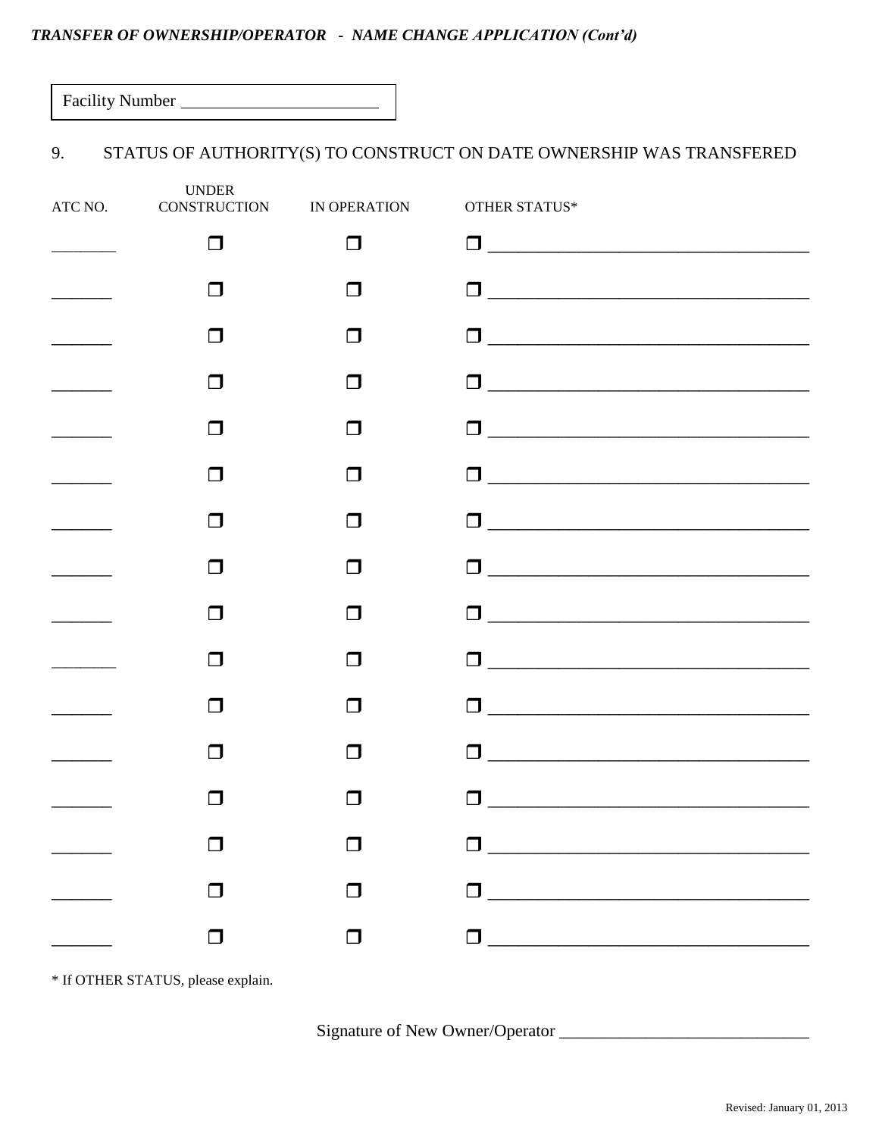### TRANSFER OF OWNERSHIP/OPERATOR - NAME CHANGE APPLICATION (Cont'd)

| <b>Facility Number</b> |  |
|------------------------|--|
|------------------------|--|

#### 9. STATUS OF AUTHORITY(S) TO CONSTRUCT ON DATE OWNERSHIP WAS TRANSFERED

| <b>UNDER</b><br>ATC NO. CONSTRUCTION IN OPERATION |              | OTHER STATUS*                                                                                                     |
|---------------------------------------------------|--------------|-------------------------------------------------------------------------------------------------------------------|
| П                                                 | П            |                                                                                                                   |
| ⊓                                                 | l I          | O <u>___________________________________</u>                                                                      |
| l 1                                               | $\mathbf{I}$ |                                                                                                                   |
| П                                                 | l I          | 0 <u>____________________________</u>                                                                             |
| l 1                                               | l I          |                                                                                                                   |
| $\mathsf{L}$                                      | l I          |                                                                                                                   |
| $\Box$                                            | $\Box$       | 0 <u>_________________________________</u>                                                                        |
| ⊓                                                 | l I          |                                                                                                                   |
| $\mathsf{L}$                                      | l I          |                                                                                                                   |
| $\Box$                                            | $\Box$       | $\blacksquare$                                                                                                    |
| $\Box$                                            | l 1          | П                                                                                                                 |
| $\mathsf{L}$                                      | l 1          | П                                                                                                                 |
|                                                   |              |                                                                                                                   |
|                                                   | $\Box$       | $\begin{tabular}{ c c c c } \hline \quad \quad & \quad \quad & \quad \quad & \quad \quad \\ \hline \end{tabular}$ |
| $\Box$                                            | $\Box$       |                                                                                                                   |
| $\Box$                                            | $\Box$       | $\begin{tabular}{ c c c c } \hline \quad \quad & \quad \quad & \quad \quad & \quad \quad \\ \hline \end{tabular}$ |

\* If OTHER STATUS, please explain.